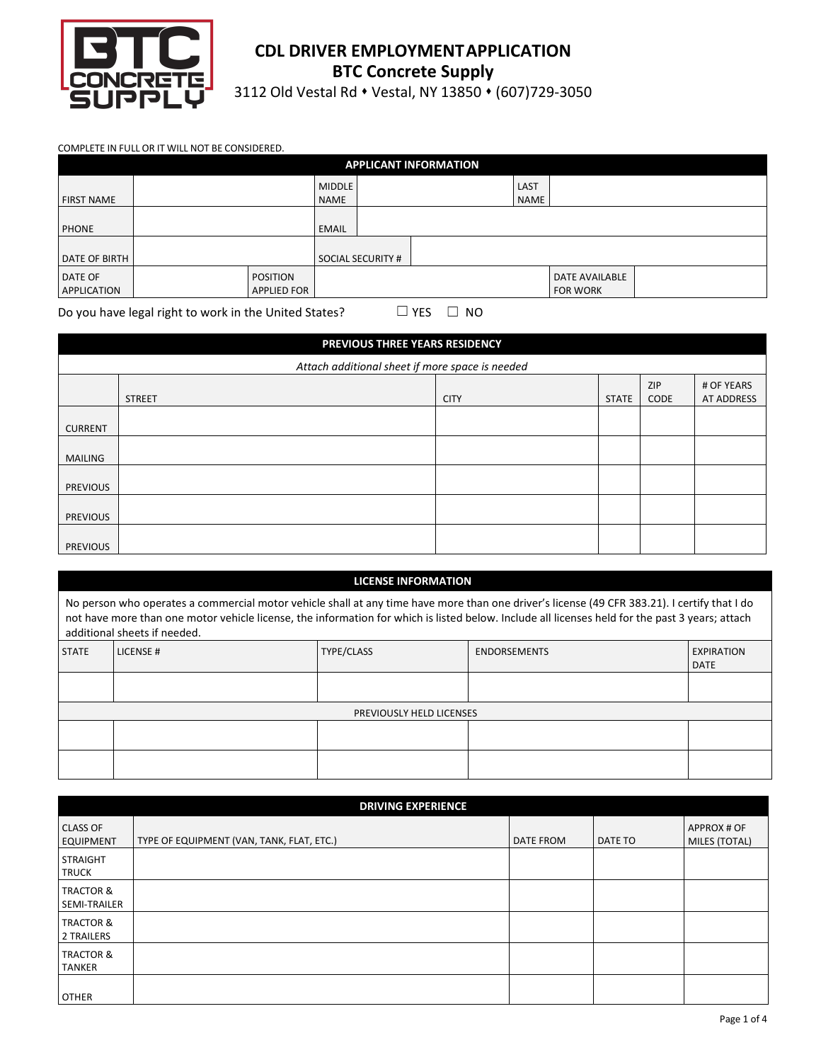

# **CDL DRIVER EMPLOYMENTAPPLICATION BTC Concrete Supply**

3112 Old Vestal Rd • Vestal, NY 13850 • (607)729-3050

### COMPLETE IN FULL OR IT WILL NOT BE CONSIDERED.

|                   |                    |               |                          | <b>APPLICANT INFORMATION</b> |             |                       |  |
|-------------------|--------------------|---------------|--------------------------|------------------------------|-------------|-----------------------|--|
|                   |                    | <b>MIDDLE</b> |                          |                              | LAST        |                       |  |
| <b>FIRST NAME</b> |                    | <b>NAME</b>   |                          |                              | <b>NAME</b> |                       |  |
|                   |                    |               |                          |                              |             |                       |  |
| <b>PHONE</b>      |                    | <b>EMAIL</b>  |                          |                              |             |                       |  |
|                   |                    |               |                          |                              |             |                       |  |
| DATE OF BIRTH     |                    |               | <b>SOCIAL SECURITY #</b> |                              |             |                       |  |
| DATE OF           | <b>POSITION</b>    |               |                          |                              |             | <b>DATE AVAILABLE</b> |  |
| APPLICATION       | <b>APPLIED FOR</b> |               |                          |                              |             | <b>FOR WORK</b>       |  |

Do you have legal right to work in the United States?  $□$  YES  $□$  NO

|                 | <b>PREVIOUS THREE YEARS RESIDENCY</b>           |             |              |             |                          |
|-----------------|-------------------------------------------------|-------------|--------------|-------------|--------------------------|
|                 | Attach additional sheet if more space is needed |             |              |             |                          |
|                 | <b>STREET</b>                                   | <b>CITY</b> | <b>STATE</b> | ZIP<br>CODE | # OF YEARS<br>AT ADDRESS |
| <b>CURRENT</b>  |                                                 |             |              |             |                          |
| MAILING         |                                                 |             |              |             |                          |
| <b>PREVIOUS</b> |                                                 |             |              |             |                          |
| <b>PREVIOUS</b> |                                                 |             |              |             |                          |
| <b>PREVIOUS</b> |                                                 |             |              |             |                          |

## **LICENSE INFORMATION**

|              | additional sheets if needed. |                          | No person who operates a commercial motor vehicle shall at any time have more than one driver's license (49 CFR 383.21). I certify that I do<br>not have more than one motor vehicle license, the information for which is listed below. Include all licenses held for the past 3 years; attach |                                  |
|--------------|------------------------------|--------------------------|-------------------------------------------------------------------------------------------------------------------------------------------------------------------------------------------------------------------------------------------------------------------------------------------------|----------------------------------|
| <b>STATE</b> | LICENSE#                     | TYPE/CLASS               | <b>ENDORSEMENTS</b>                                                                                                                                                                                                                                                                             | <b>EXPIRATION</b><br><b>DATE</b> |
|              |                              |                          |                                                                                                                                                                                                                                                                                                 |                                  |
|              |                              | PREVIOUSLY HELD LICENSES |                                                                                                                                                                                                                                                                                                 |                                  |
|              |                              |                          |                                                                                                                                                                                                                                                                                                 |                                  |

|                                       | <b>DRIVING EXPERIENCE</b>                 |                  |         |                              |
|---------------------------------------|-------------------------------------------|------------------|---------|------------------------------|
| <b>CLASS OF</b><br><b>EQUIPMENT</b>   | TYPE OF EQUIPMENT (VAN, TANK, FLAT, ETC.) | <b>DATE FROM</b> | DATE TO | APPROX # OF<br>MILES (TOTAL) |
| <b>STRAIGHT</b><br><b>TRUCK</b>       |                                           |                  |         |                              |
| <b>TRACTOR &amp;</b><br>SEMI-TRAILER  |                                           |                  |         |                              |
| <b>TRACTOR &amp;</b><br>2 TRAILERS    |                                           |                  |         |                              |
| <b>TRACTOR &amp;</b><br><b>TANKER</b> |                                           |                  |         |                              |
| <b>OTHER</b>                          |                                           |                  |         |                              |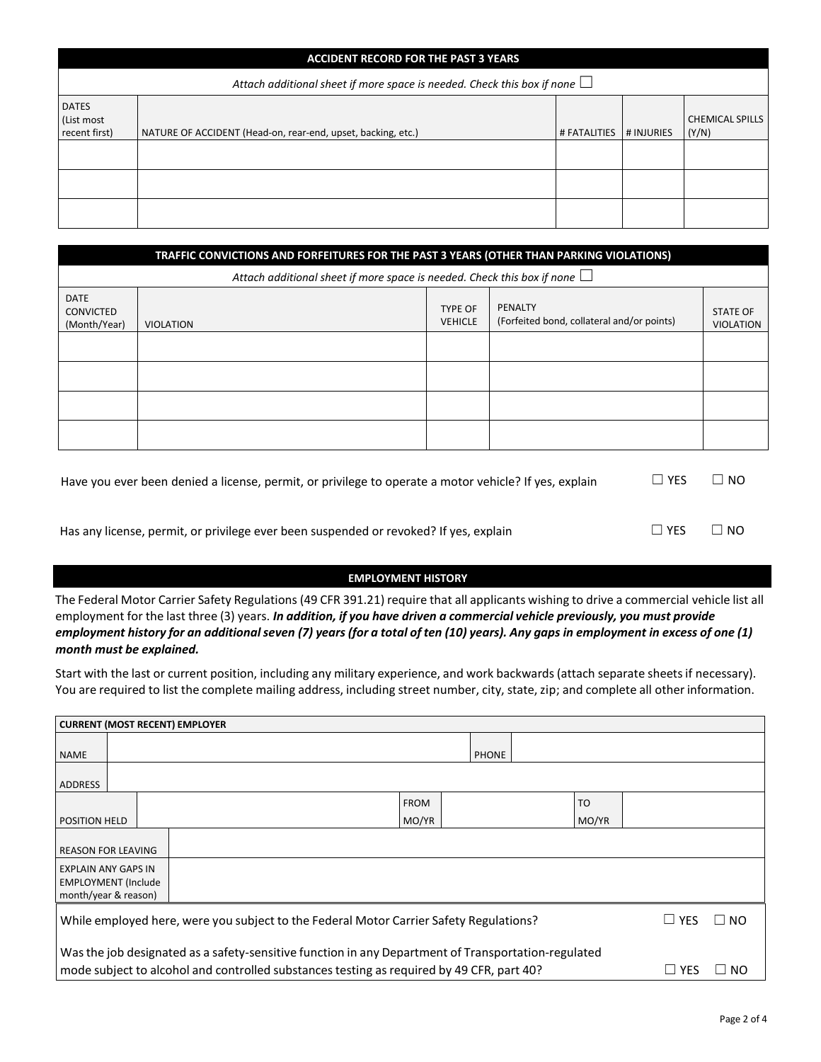|                                             | <b>ACCIDENT RECORD FOR THE PAST 3 YEARS</b>                                    |              |            |                                 |  |  |  |  |
|---------------------------------------------|--------------------------------------------------------------------------------|--------------|------------|---------------------------------|--|--|--|--|
|                                             | Attach additional sheet if more space is needed. Check this box if none $\Box$ |              |            |                                 |  |  |  |  |
| <b>DATES</b><br>(List most<br>recent first) | NATURE OF ACCIDENT (Head-on, rear-end, upset, backing, etc.)                   | # FATALITIES | # INJURIES | <b>CHEMICAL SPILLS</b><br>(Y/N) |  |  |  |  |
|                                             |                                                                                |              |            |                                 |  |  |  |  |
|                                             |                                                                                |              |            |                                 |  |  |  |  |
|                                             |                                                                                |              |            |                                 |  |  |  |  |

|                                                 | TRAFFIC CONVICTIONS AND FORFEITURES FOR THE PAST 3 YEARS (OTHER THAN PARKING VIOLATIONS) |                                  |                                                       |                                     |
|-------------------------------------------------|------------------------------------------------------------------------------------------|----------------------------------|-------------------------------------------------------|-------------------------------------|
|                                                 | Attach additional sheet if more space is needed. Check this box if none $\Box$           |                                  |                                                       |                                     |
| <b>DATE</b><br><b>CONVICTED</b><br>(Month/Year) | <b>VIOLATION</b>                                                                         | <b>TYPE OF</b><br><b>VEHICLE</b> | PENALTY<br>(Forfeited bond, collateral and/or points) | <b>STATE OF</b><br><b>VIOLATION</b> |
|                                                 |                                                                                          |                                  |                                                       |                                     |
|                                                 |                                                                                          |                                  |                                                       |                                     |
|                                                 |                                                                                          |                                  |                                                       |                                     |
|                                                 |                                                                                          |                                  |                                                       |                                     |

| Have you ever been denied a license, permit, or privilege to operate a motor vehicle? If yes, explain | $\Box$ Yes | $\Box$ NO |
|-------------------------------------------------------------------------------------------------------|------------|-----------|
|                                                                                                       |            |           |
| Has any license, permit, or privilege ever been suspended or revoked? If yes, explain                 | $\Box$ YES | $\Box$ NO |

### **EMPLOYMENT HISTORY**

The Federal Motor Carrier Safety Regulations (49 CFR 391.21) require that all applicants wishing to drive a commercial vehicle list all employment for the last three (3) years. *In addition, if you have driven a commercial vehicle previously, you must provide* employment history for an additional seven (7) years (for a total of ten (10) years). Any gaps in employment in excess of one (1) *month must be explained.*

Start with the last or current position, including any military experience, and work backwards(attach separate sheets if necessary). You are required to list the complete mailing address, including street number, city, state, zip; and complete all other information.

|                                                                                  | <b>CURRENT (MOST RECENT) EMPLOYER</b> |  |                                                                                                     |             |              |                |              |                             |
|----------------------------------------------------------------------------------|---------------------------------------|--|-----------------------------------------------------------------------------------------------------|-------------|--------------|----------------|--------------|-----------------------------|
| <b>NAME</b>                                                                      |                                       |  |                                                                                                     |             | <b>PHONE</b> |                |              |                             |
| ADDRESS                                                                          |                                       |  |                                                                                                     |             |              |                |              |                             |
|                                                                                  |                                       |  |                                                                                                     | <b>FROM</b> |              | T <sub>O</sub> |              |                             |
| <b>POSITION HELD</b>                                                             |                                       |  |                                                                                                     | MO/YR       |              | MO/YR          |              |                             |
| <b>REASON FOR LEAVING</b>                                                        |                                       |  |                                                                                                     |             |              |                |              |                             |
| <b>EXPLAIN ANY GAPS IN</b><br><b>EMPLOYMENT (Include</b><br>month/year & reason) |                                       |  |                                                                                                     |             |              |                |              |                             |
|                                                                                  |                                       |  | While employed here, were you subject to the Federal Motor Carrier Safety Regulations?              |             |              |                | $\sqcup$ yes | $\overline{\phantom{a}}$ NO |
|                                                                                  |                                       |  | Was the job designated as a safety-sensitive function in any Department of Transportation-regulated |             |              |                |              |                             |
|                                                                                  |                                       |  | mode subject to alcohol and controlled substances testing as required by 49 CFR, part 40?           |             |              |                | $\sqcup$ YFS | NO.                         |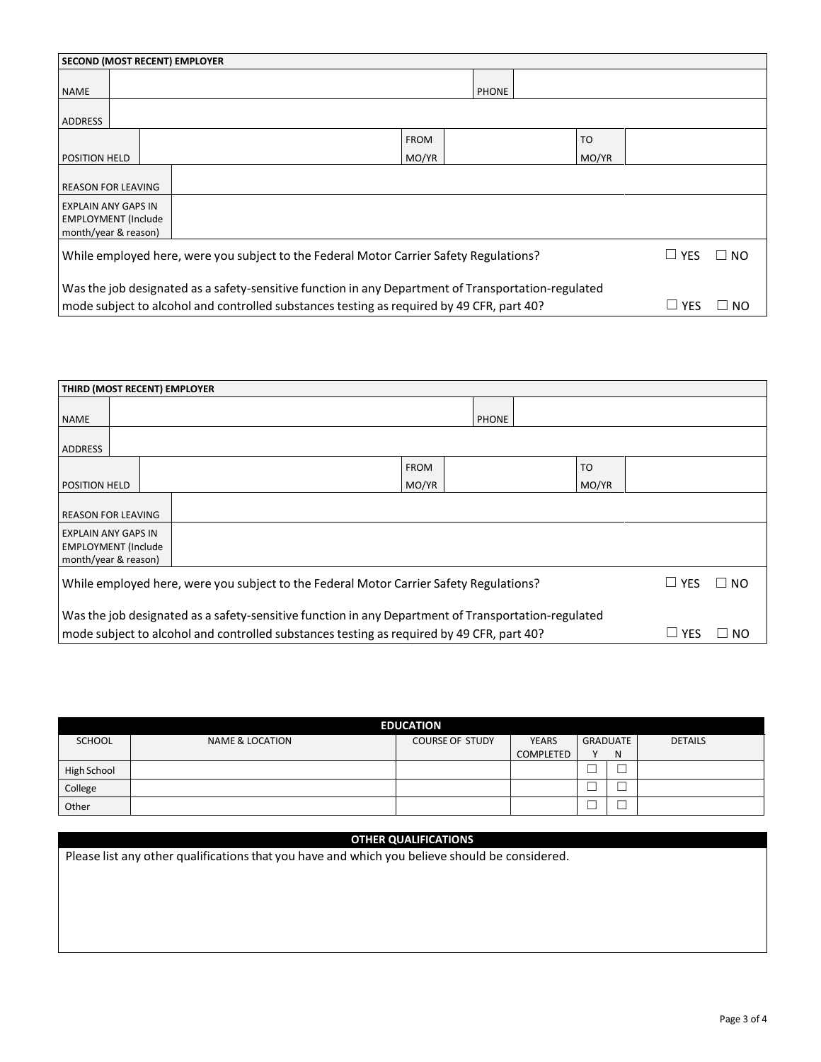|                                                                                  |                                                                                                                                                                                                                         |  | <b>SECOND (MOST RECENT) EMPLOYER</b>                                                   |             |              |                |            |           |
|----------------------------------------------------------------------------------|-------------------------------------------------------------------------------------------------------------------------------------------------------------------------------------------------------------------------|--|----------------------------------------------------------------------------------------|-------------|--------------|----------------|------------|-----------|
| <b>NAME</b>                                                                      |                                                                                                                                                                                                                         |  |                                                                                        |             | <b>PHONE</b> |                |            |           |
| ADDRESS                                                                          |                                                                                                                                                                                                                         |  |                                                                                        |             |              |                |            |           |
|                                                                                  |                                                                                                                                                                                                                         |  |                                                                                        | <b>FROM</b> |              | T <sub>O</sub> |            |           |
| <b>POSITION HELD</b>                                                             |                                                                                                                                                                                                                         |  |                                                                                        | MO/YR       |              | MO/YR          |            |           |
| <b>REASON FOR LEAVING</b>                                                        |                                                                                                                                                                                                                         |  |                                                                                        |             |              |                |            |           |
| <b>EXPLAIN ANY GAPS IN</b><br><b>EMPLOYMENT</b> (Include<br>month/year & reason) |                                                                                                                                                                                                                         |  |                                                                                        |             |              |                |            |           |
|                                                                                  |                                                                                                                                                                                                                         |  | While employed here, were you subject to the Federal Motor Carrier Safety Regulations? |             |              |                | $\Box$ YES | $\Box$ No |
|                                                                                  | Was the job designated as a safety-sensitive function in any Department of Transportation-regulated<br>mode subject to alcohol and controlled substances testing as required by 49 CFR, part 40?<br>$\sqcup$ yes<br>NO. |  |                                                                                        |             |              |                |            |           |

| THIRD (MOST RECENT) EMPLOYER                             |  |                                                                                                                                                                                                  |             |              |                |              |           |
|----------------------------------------------------------|--|--------------------------------------------------------------------------------------------------------------------------------------------------------------------------------------------------|-------------|--------------|----------------|--------------|-----------|
| <b>NAME</b>                                              |  |                                                                                                                                                                                                  |             | <b>PHONE</b> |                |              |           |
| <b>ADDRESS</b>                                           |  |                                                                                                                                                                                                  |             |              |                |              |           |
|                                                          |  |                                                                                                                                                                                                  | <b>FROM</b> |              | T <sub>O</sub> |              |           |
| <b>POSITION HELD</b>                                     |  |                                                                                                                                                                                                  | MO/YR       |              | MO/YR          |              |           |
| <b>REASON FOR LEAVING</b>                                |  |                                                                                                                                                                                                  |             |              |                |              |           |
| <b>EXPLAIN ANY GAPS IN</b><br><b>EMPLOYMENT (Include</b> |  |                                                                                                                                                                                                  |             |              |                |              |           |
| month/year & reason)                                     |  |                                                                                                                                                                                                  |             |              |                |              |           |
|                                                          |  | While employed here, were you subject to the Federal Motor Carrier Safety Regulations?                                                                                                           |             |              |                | $\Box$ YES   | $\Box$ NO |
|                                                          |  | Was the job designated as a safety-sensitive function in any Department of Transportation-regulated<br>mode subject to alcohol and controlled substances testing as required by 49 CFR, part 40? |             |              |                | $\sqcup$ yes | NO.       |

|               |                            | <b>EDUCATION</b>       |              |              |        |                |
|---------------|----------------------------|------------------------|--------------|--------------|--------|----------------|
| <b>SCHOOL</b> | <b>NAME &amp; LOCATION</b> | <b>COURSE OF STUDY</b> | <b>YEARS</b> | GRADUATE     |        | <b>DETAILS</b> |
|               |                            |                        | COMPLETED    | $\mathbf{v}$ | N      |                |
| High School   |                            |                        |              | ─            |        |                |
| College       |                            |                        |              | ╌            |        |                |
| Other         |                            |                        |              | └            | $\sim$ |                |

| <b>OTHER QUALIFICATIONS</b>                                                                    |
|------------------------------------------------------------------------------------------------|
| Please list any other qualifications that you have and which you believe should be considered. |
|                                                                                                |
|                                                                                                |
|                                                                                                |
|                                                                                                |
|                                                                                                |